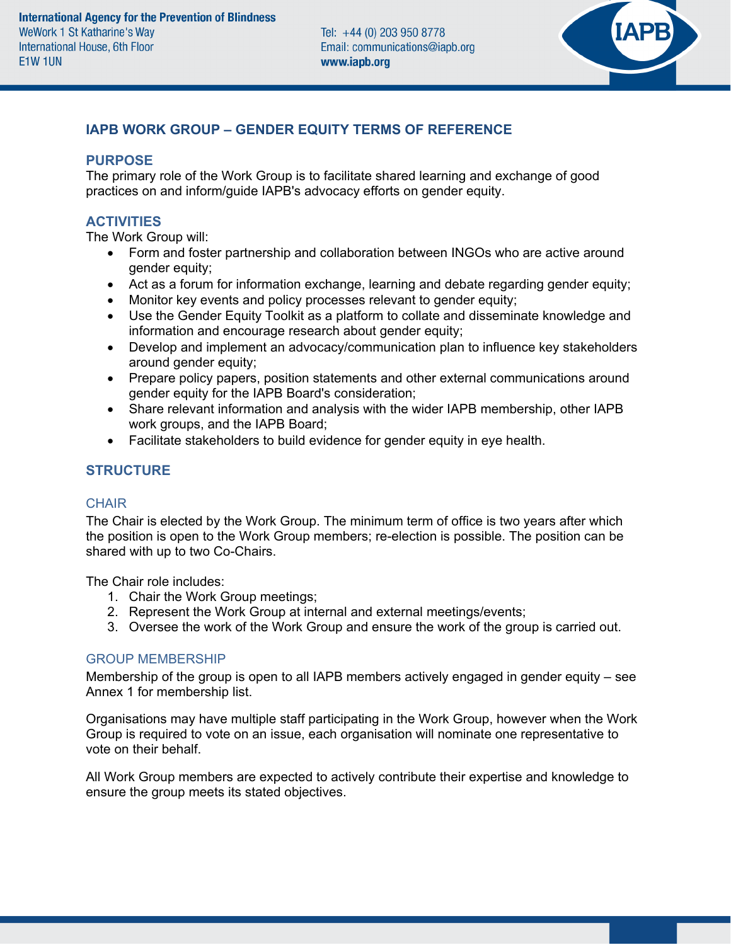

# **IAPB WORK GROUP – GENDER EQUITY TERMS OF REFERENCE**

### **PURPOSE**

The primary role of the Work Group is to facilitate shared learning and exchange of good practices on and inform/guide IAPB's advocacy efforts on gender equity.

## **ACTIVITIES**

The Work Group will:

- Form and foster partnership and collaboration between INGOs who are active around gender equity;
- Act as a forum for information exchange, learning and debate regarding gender equity;
- Monitor key events and policy processes relevant to gender equity;
- Use the Gender Equity Toolkit as a platform to collate and disseminate knowledge and information and encourage research about gender equity;
- Develop and implement an advocacy/communication plan to influence key stakeholders around gender equity;
- Prepare policy papers, position statements and other external communications around gender equity for the IAPB Board's consideration;
- Share relevant information and analysis with the wider IAPB membership, other IAPB work groups, and the IAPB Board;
- Facilitate stakeholders to build evidence for gender equity in eye health.

### **STRUCTURE**

#### **CHAIR**

The Chair is elected by the Work Group. The minimum term of office is two years after which the position is open to the Work Group members; re-election is possible. The position can be shared with up to two Co-Chairs.

The Chair role includes:

- 1. Chair the Work Group meetings;
- 2. Represent the Work Group at internal and external meetings/events;
- 3. Oversee the work of the Work Group and ensure the work of the group is carried out.

### GROUP MEMBERSHIP

Membership of the group is open to all IAPB members actively engaged in gender equity – see Annex 1 for membership list.

Organisations may have multiple staff participating in the Work Group, however when the Work Group is required to vote on an issue, each organisation will nominate one representative to vote on their behalf.

All Work Group members are expected to actively contribute their expertise and knowledge to ensure the group meets its stated objectives.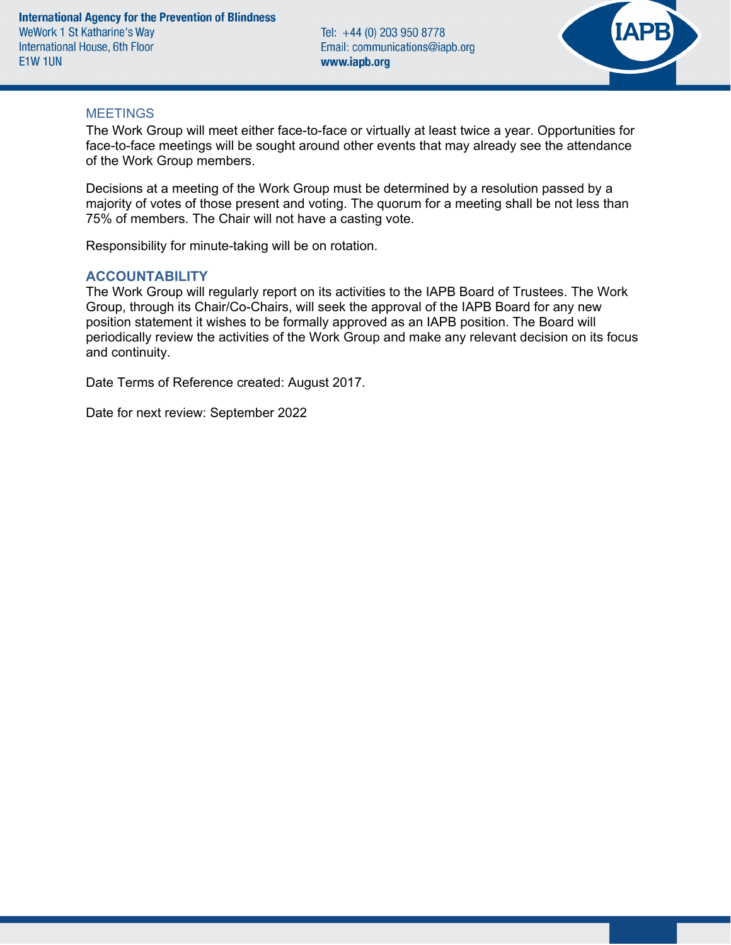Tel: +44 (0) 203 950 8778 Email: communications@iapb.org www.iapb.org



#### **MEETINGS**

The Work Group will meet either face-to-face or virtually at least twice a year. Opportunities for face-to-face meetings will be sought around other events that may already see the attendance of the Work Group members.

Decisions at a meeting of the Work Group must be determined by a resolution passed by a majority of votes of those present and voting. The quorum for a meeting shall be not less than 75% of members. The Chair will not have a casting vote.

Responsibility for minute-taking will be on rotation.

#### **ACCOUNTABILITY**

The Work Group will regularly report on its activities to the IAPB Board of Trustees. The Work Group, through its Chair/Co-Chairs, will seek the approval of the IAPB Board for any new position statement it wishes to be formally approved as an IAPB position. The Board will periodically review the activities of the Work Group and make any relevant decision on its focus and continuity.

Date Terms of Reference created: August 2017.

Date for next review: September 2022